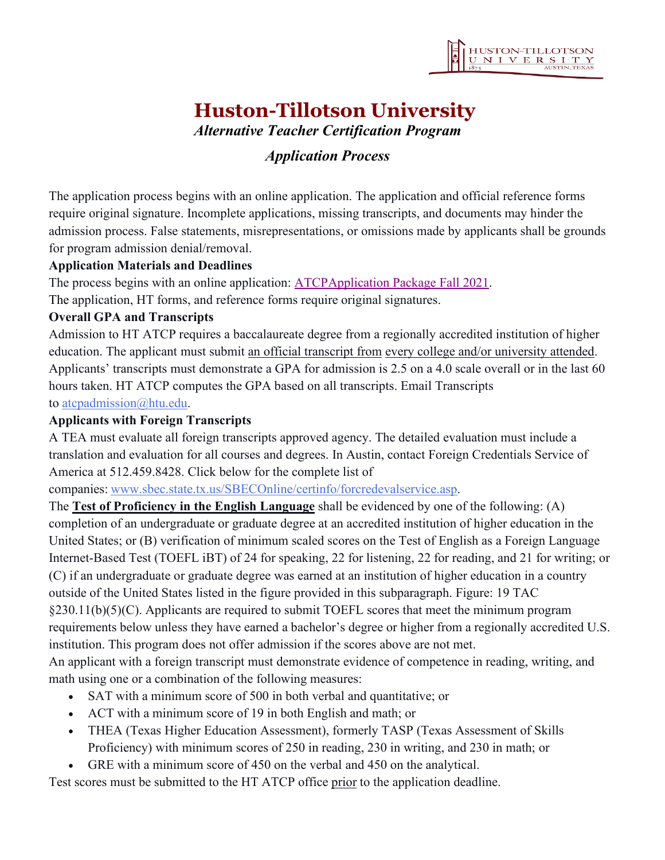# **Huston-Tillotson University**

*Alternative Teacher Certification Program*

## *Application Process*

The application process begins with an online application. The application and official reference forms require original signature. Incomplete applications, missing transcripts, and documents may hinder the admission process. False statements, misrepresentations, or omissions made by applicants shall be grounds for program admission denial/removal.

#### **Application Materials and Deadlines**

The process begins with an online application: [ATCPApplication](https://forms.office.com/r/w3qEJRu5U3) Package Fall 2021.

The application, HT forms, and reference forms require original signatures.

## **Overall GPA and Transcripts**

Admission to HT ATCP requires a baccalaureate degree from a regionally accredited institution of higher education. The applicant must submit an official transcript from every college and/or university attended. Applicants' transcripts must demonstrate a GPA for admission is 2.5 on a 4.0 scale overall or in the last 60 hours taken. HT ATCP computes the GPA based on all transcripts. Email Transcripts to [atcpadmission@htu.edu.](mailto:atcpadmission@htu.edu)

#### **Applicants with Foreign Transcripts**

A TEA must evaluate all foreign transcripts approved agency. The detailed evaluation must include a translation and evaluation for all courses and degrees. In Austin, contact Foreign Credentials Service of America at 512.459.8428. Click below for the complete list of

companies: [www.sbec.state.tx.us/SBECOnline/certinfo/forcredevalservice.asp.](http://www.sbec.state.tx.us/SBECOnline/certinfo/forcredevalservice.asp)

The **Test of Proficiency in the English Language** shall be evidenced by one of the following: (A) completion of an undergraduate or graduate degree at an accredited institution of higher education in the United States; or (B) verification of minimum scaled scores on the Test of English as a Foreign Language Internet-Based Test (TOEFL iBT) of 24 for speaking, 22 for listening, 22 for reading, and 21 for writing; or (C) if an undergraduate or graduate degree was earned at an institution of higher education in a country outside of the United States listed in the figure provided in this subparagraph. Figure: 19 TAC §230.11(b)(5)(C). Applicants are required to submit TOEFL scores that meet the minimum program requirements below unless they have earned a bachelor's degree or higher from a regionally accredited U.S. institution. This program does not offer admission if the scores above are not met.

An applicant with a foreign transcript must demonstrate evidence of competence in reading, writing, and math using one or a combination of the following measures:

- SAT with a minimum score of 500 in both verbal and quantitative; or
- ACT with a minimum score of 19 in both English and math; or
- THEA (Texas Higher Education Assessment), formerly TASP (Texas Assessment of Skills Proficiency) with minimum scores of 250 in reading, 230 in writing, and 230 in math; or
- GRE with a minimum score of 450 on the verbal and 450 on the analytical.

Test scores must be submitted to the HT ATCP office prior to the application deadline.